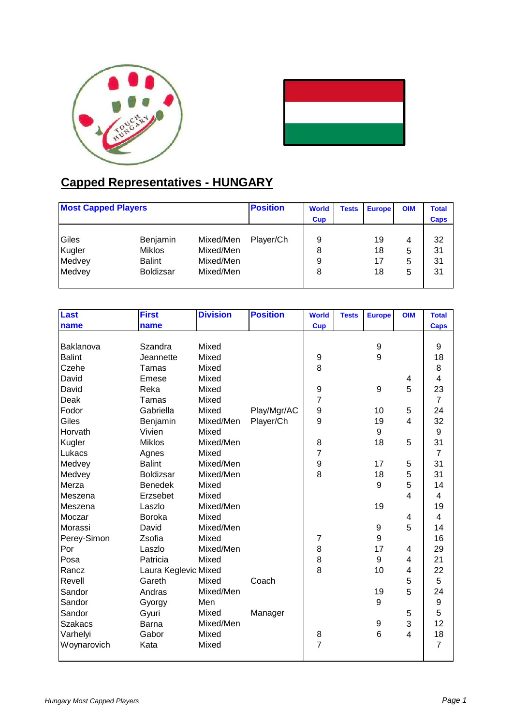



## **Capped Representatives - HUNGARY**

| <b>Most Capped Players</b> |                  | <b>Position</b> | <b>World</b><br><b>Cup</b> | <b>Tests</b> | <b>Europe</b> | <b>OIM</b> | <b>Total</b><br><b>Caps</b> |    |
|----------------------------|------------------|-----------------|----------------------------|--------------|---------------|------------|-----------------------------|----|
| Giles                      | Benjamin         | Mixed/Men       | Player/Ch                  | 9            |               | 19         | 4                           | 32 |
| Kugler                     | <b>Miklos</b>    | Mixed/Men       |                            | 8            |               | 18         | 5                           | 31 |
| Medvey                     | <b>Balint</b>    | Mixed/Men       |                            | 9            |               |            | 5                           | 31 |
| Medvey                     | <b>Boldizsar</b> | Mixed/Men       |                            | 8            |               | 18         | 5                           | 31 |
|                            |                  |                 |                            |              |               |            |                             |    |

| <b>Last</b>    | <b>First</b>         | <b>Division</b> | <b>Position</b> | <b>World</b>     | <b>Tests</b> | <b>Europe</b> | <b>OIM</b>                | <b>Total</b>            |
|----------------|----------------------|-----------------|-----------------|------------------|--------------|---------------|---------------------------|-------------------------|
| name           | name                 |                 |                 | <b>Cup</b>       |              |               |                           | <b>Caps</b>             |
|                |                      |                 |                 |                  |              |               |                           |                         |
| Baklanova      | Szandra              | Mixed           |                 |                  |              | 9             |                           | 9                       |
| <b>Balint</b>  | Jeannette            | Mixed           |                 | 9                |              | 9             |                           | 18                      |
| Czehe          | Tamas                | Mixed           |                 | 8                |              |               |                           | 8                       |
| David          | Emese                | Mixed           |                 |                  |              |               | 4                         | $\overline{\mathbf{4}}$ |
| David          | Reka                 | Mixed           |                 | 9                |              | 9             | 5                         | 23                      |
| Deak           | Tamas                | Mixed           |                 | $\overline{7}$   |              |               |                           | $\overline{7}$          |
| Fodor          | Gabriella            | Mixed           | Play/Mgr/AC     | $\boldsymbol{9}$ |              | 10            | 5                         | 24                      |
| Giles          | Benjamin             | Mixed/Men       | Player/Ch       | 9                |              | 19            | $\overline{4}$            | 32                      |
| Horvath        | Vivien               | Mixed           |                 |                  |              | 9             |                           | 9                       |
| Kugler         | <b>Miklos</b>        | Mixed/Men       |                 | 8                |              | 18            | 5                         | 31                      |
| Lukacs         | Agnes                | Mixed           |                 | $\overline{7}$   |              |               |                           | $\overline{7}$          |
| Medvey         | <b>Balint</b>        | Mixed/Men       |                 | $\boldsymbol{9}$ |              | 17            | 5                         | 31                      |
| Medvey         | Boldizsar            | Mixed/Men       |                 | 8                |              | 18            | 5                         | 31                      |
| Merza          | <b>Benedek</b>       | Mixed           |                 |                  |              | 9             | 5                         | 14                      |
| Meszena        | Erzsebet             | Mixed           |                 |                  |              |               | 4                         | $\overline{\mathbf{4}}$ |
| Meszena        | Laszlo               | Mixed/Men       |                 |                  |              | 19            |                           | 19                      |
| Moczar         | <b>Boroka</b>        | Mixed           |                 |                  |              |               | 4                         | 4                       |
| Morassi        | David                | Mixed/Men       |                 |                  |              | 9             | 5                         | 14                      |
| Perey-Simon    | Zsofia               | Mixed           |                 | $\overline{7}$   |              | 9             |                           | 16                      |
| Por            | Laszlo               | Mixed/Men       |                 | 8                |              | 17            | 4                         | 29                      |
| Posa           | Patricia             | Mixed           |                 | 8                |              | 9             | 4                         | 21                      |
| Rancz          | Laura Keglevic Mixed |                 |                 | 8                |              | 10            | 4                         | 22                      |
| Revell         | Gareth               | Mixed           | Coach           |                  |              |               | 5                         | 5                       |
| Sandor         | Andras               | Mixed/Men       |                 |                  |              | 19            | 5                         | 24                      |
| Sandor         | Gyorgy               | Men             |                 |                  |              | 9             |                           | 9                       |
| Sandor         | Gyuri                | Mixed           | Manager         |                  |              |               | 5                         | 5                       |
| <b>Szakacs</b> | Barna                | Mixed/Men       |                 |                  |              | 9             | $\ensuremath{\mathsf{3}}$ | 12                      |
| Varhelyi       | Gabor                | Mixed           |                 | 8                |              | 6             | 4                         | 18                      |
| Woynarovich    | Kata                 | Mixed           |                 | $\overline{7}$   |              |               |                           | $\overline{7}$          |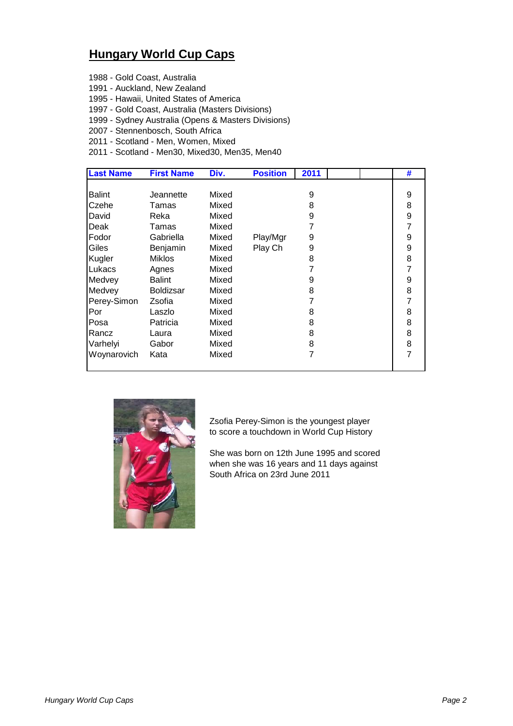## **Hungary World Cup Caps**

- 1988 Gold Coast, Australia
- 1991 Auckland, New Zealand
- 1995 Hawaii, United States of America
- 1997 Gold Coast, Australia (Masters Divisions)
- 1999 Sydney Australia (Opens & Masters Divisions)
- 2007 Stennenbosch, South Africa
- 2011 Scotland Men, Women, Mixed
- 2011 Scotland Men30, Mixed30, Men35, Men40

|                            |       |          |   |  | #              |
|----------------------------|-------|----------|---|--|----------------|
|                            |       |          |   |  |                |
| <b>Balint</b><br>Jeannette | Mixed |          | 9 |  | 9              |
| Czehe<br>Tamas             | Mixed |          | 8 |  | 8              |
| David<br>Reka              | Mixed |          | 9 |  | 9              |
| Deak<br>Tamas              | Mixed |          |   |  | 7              |
| Fodor<br>Gabriella         | Mixed | Play/Mgr | 9 |  | 9              |
| Giles<br>Benjamin          | Mixed | Play Ch  | 9 |  | 9              |
| Kugler<br><b>Miklos</b>    | Mixed |          | 8 |  | 8              |
| Lukacs<br>Agnes            | Mixed |          |   |  | 7              |
| Medvey<br>Balint           | Mixed |          | 9 |  | 9              |
| Medvey<br><b>Boldizsar</b> | Mixed |          | 8 |  | 8              |
| Perey-Simon<br>Zsofia      | Mixed |          |   |  | 7              |
| Por<br>Laszlo              | Mixed |          | 8 |  | 8              |
| Posa<br>Patricia           | Mixed |          | 8 |  | 8              |
| Rancz<br>Laura             | Mixed |          | 8 |  | 8              |
| Varhelyi<br>Gabor          | Mixed |          | 8 |  | 8              |
| Woynarovich<br>Kata        | Mixed |          | 7 |  | $\overline{7}$ |



Zsofia Perey-Simon is the youngest player to score a touchdown in World Cup History

She was born on 12th June 1995 and scored when she was 16 years and 11 days against South Africa on 23rd June 2011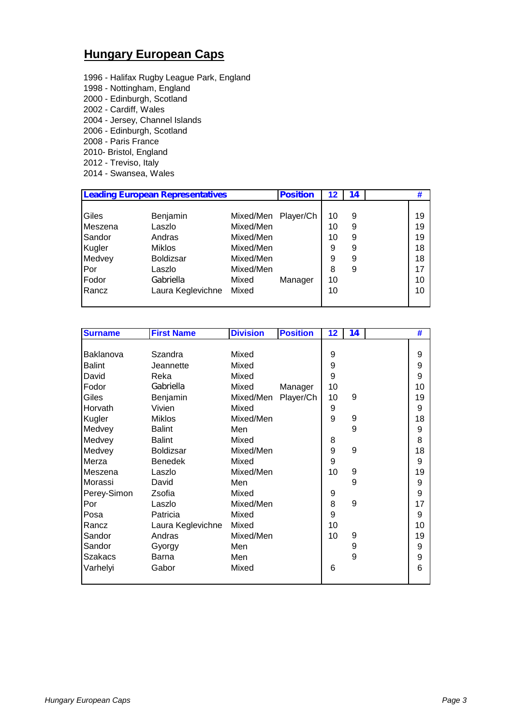## **Hungary European Caps**

1996 - Halifax Rugby League Park, England 1998 - Nottingham, England 2000 - Edinburgh, Scotland 2002 - Cardiff, Wales 2004 - Jersey, Channel Islands 2006 - Edinburgh, Scotland 2008 - Paris France 2010- Bristol, England 2012 - Treviso, Italy 2014 - Swansea, Wales

| <b>Leading European Representatives</b> |                   |           | <b>Position</b> | 12 | 14 | 77 |
|-----------------------------------------|-------------------|-----------|-----------------|----|----|----|
|                                         |                   |           |                 |    |    |    |
| Giles                                   | Benjamin          | Mixed/Men | Player/Ch       | 10 | 9  | 19 |
| Meszena                                 | Laszlo            | Mixed/Men |                 | 10 | 9  | 19 |
| Sandor                                  | Andras            | Mixed/Men |                 | 10 | 9  | 19 |
| Kugler                                  | <b>Miklos</b>     | Mixed/Men |                 | 9  | 9  | 18 |
| Medvey                                  | <b>Boldizsar</b>  | Mixed/Men |                 | 9  | 9  | 18 |
| Por                                     | Laszlo            | Mixed/Men |                 | 8  | 9  | 17 |
| Fodor                                   | Gabriella         | Mixed     | Manager         | 10 |    | 10 |
| Rancz                                   | Laura Keglevichne | Mixed     |                 | 10 |    | 10 |
|                                         |                   |           |                 |    |    |    |

| <b>Surname</b> | <b>First Name</b> | <b>Division</b> | <b>Position</b> | 12 | 14 | #  |
|----------------|-------------------|-----------------|-----------------|----|----|----|
|                |                   |                 |                 |    |    |    |
| Baklanova      | Szandra           | Mixed           |                 | 9  |    | 9  |
| <b>Balint</b>  | Jeannette         | Mixed           |                 | 9  |    | 9  |
| David          | Reka              | Mixed           |                 | 9  |    | 9  |
| Fodor          | Gabriella         | Mixed           | Manager         | 10 |    | 10 |
| Giles          | Benjamin          | Mixed/Men       | Player/Ch       | 10 | 9  | 19 |
| Horvath        | Vivien            | Mixed           |                 | 9  |    | 9  |
| Kugler         | <b>Miklos</b>     | Mixed/Men       |                 | 9  | 9  | 18 |
| Medvey         | <b>Balint</b>     | Men             |                 |    | 9  | 9  |
| Medvey         | <b>Balint</b>     | Mixed           |                 | 8  |    | 8  |
| Medvey         | <b>Boldizsar</b>  | Mixed/Men       |                 | 9  | 9  | 18 |
| Merza          | <b>Benedek</b>    | Mixed           |                 | 9  |    | 9  |
| Meszena        | Laszlo            | Mixed/Men       |                 | 10 | 9  | 19 |
| Morassi        | David             | Men             |                 |    | 9  | 9  |
| Perey-Simon    | Zsofia            | Mixed           |                 | 9  |    | 9  |
| Por            | Laszlo            | Mixed/Men       |                 | 8  | 9  | 17 |
| Posa           | Patricia          | Mixed           |                 | 9  |    | 9  |
| Rancz          | Laura Keglevichne | Mixed           |                 | 10 |    | 10 |
| Sandor         | Andras            | Mixed/Men       |                 | 10 | 9  | 19 |
| Sandor         | Gyorgy            | Men             |                 |    | 9  | 9  |
| <b>Szakacs</b> | Barna             | Men             |                 |    | 9  | 9  |
| Varhelyi       | Gabor             | Mixed           |                 | 6  |    | 6  |